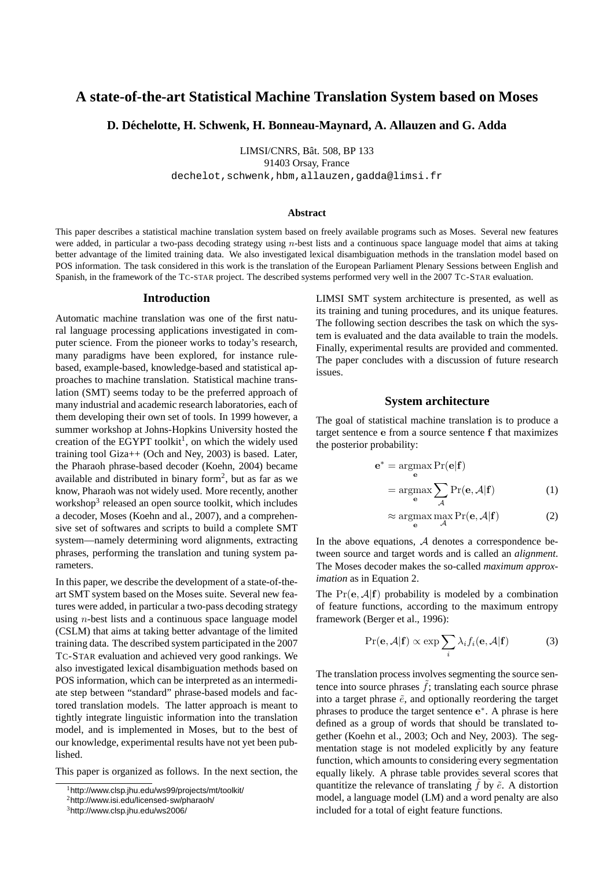# **A state-of-the-art Statistical Machine Translation System based on Moses**

# **D. Dechelotte, H. Schwenk, H. Bonneau-Maynard, A. Allauzen and G. Adda ´**

LIMSI/CNRS, Bât. 508, BP 133

91403 Orsay, France

dechelot,schwenk,hbm,allauzen,gadda@limsi.fr

#### **Abstract**

This paper describes a statistical machine translation system based on freely available programs such as Moses. Several new features were added, in particular a two-pass decoding strategy using n-best lists and a continuous space language model that aims at taking better advantage of the limited training data. We also investigated lexical disambiguation methods in the translation model based on POS information. The task considered in this work is the translation of the European Parliament Plenary Sessions between English and Spanish, in the framework of the TC-STAR project. The described systems performed very well in the 2007 TC-STAR evaluation.

#### **Introduction**

Automatic machine translation was one of the first natural language processing applications investigated in computer science. From the pioneer works to today's research, many paradigms have been explored, for instance rulebased, example-based, knowledge-based and statistical approaches to machine translation. Statistical machine translation (SMT) seems today to be the preferred approach of many industrial and academic research laboratories, each of them developing their own set of tools. In 1999 however, a summer workshop at Johns-Hopkins University hosted the creation of the EGYPT toolkit<sup>1</sup>, on which the widely used training tool Giza++ (Och and Ney, 2003) is based. Later, the Pharaoh phrase-based decoder (Koehn, 2004) became available and distributed in binary form<sup>2</sup>, but as far as we know, Pharaoh was not widely used. More recently, another workshop<sup>3</sup> released an open source toolkit, which includes a decoder, Moses (Koehn and al., 2007), and a comprehensive set of softwares and scripts to build a complete SMT system—namely determining word alignments, extracting phrases, performing the translation and tuning system parameters.

In this paper, we describe the development of a state-of-theart SMT system based on the Moses suite. Several new features were added, in particular a two-pass decoding strategy using n-best lists and a continuous space language model (CSLM) that aims at taking better advantage of the limited training data. The described system participated in the 2007 TC-STAR evaluation and achieved very good rankings. We also investigated lexical disambiguation methods based on POS information, which can be interpreted as an intermediate step between "standard" phrase-based models and factored translation models. The latter approach is meant to tightly integrate linguistic information into the translation model, and is implemented in Moses, but to the best of our knowledge, experimental results have not yet been published.

This paper is organized as follows. In the next section, the

LIMSI SMT system architecture is presented, as well as its training and tuning procedures, and its unique features. The following section describes the task on which the system is evaluated and the data available to train the models. Finally, experimental results are provided and commented. The paper concludes with a discussion of future research issues.

# **System architecture**

The goal of statistical machine translation is to produce a target sentence e from a source sentence f that maximizes the posterior probability:

$$
\mathbf{e}^* = \underset{\mathbf{e}}{\operatorname{argmax}} \Pr(\mathbf{e}|\mathbf{f})
$$

$$
= \underset{\mathbf{e}}{\operatorname{argmax}} \sum_{\mathcal{A}} \Pr(\mathbf{e}, \mathcal{A}|\mathbf{f}) \tag{1}
$$

$$
\approx \underset{\mathbf{e}}{\operatorname{argmax}} \ \underset{\mathcal{A}}{\operatorname{max}} \ \Pr(\mathbf{e}, \mathcal{A}|\mathbf{f}) \tag{2}
$$

In the above equations,  $A$  denotes a correspondence between source and target words and is called an *alignment*. The Moses decoder makes the so-called *maximum approximation* as in Equation 2.

The  $Pr(e, \mathcal{A}|f)$  probability is modeled by a combination of feature functions, according to the maximum entropy framework (Berger et al., 1996):

$$
\Pr(\mathbf{e}, \mathcal{A}|\mathbf{f}) \propto \exp \sum_{i} \lambda_i f_i(\mathbf{e}, \mathcal{A}|\mathbf{f}) \tag{3}
$$

The translation process involves segmenting the source sentence into source phrases  $f$ ; translating each source phrase into a target phrase  $\tilde{e}$ , and optionally reordering the target phrases to produce the target sentence e\*. A phrase is here defined as a group of words that should be translated together (Koehn et al., 2003; Och and Ney, 2003). The segmentation stage is not modeled explicitly by any feature function, which amounts to considering every segmentation equally likely. A phrase table provides several scores that quantitize the relevance of translating  $\tilde{f}$  by  $\tilde{e}$ . A distortion model, a language model (LM) and a word penalty are also included for a total of eight feature functions.

<sup>1</sup>http://www.clsp.jhu.edu/ws99/projects/mt/toolkit/

<sup>2</sup>http://www.isi.edu/licensed-sw/pharaoh/

<sup>3</sup>http://www.clsp.jhu.edu/ws2006/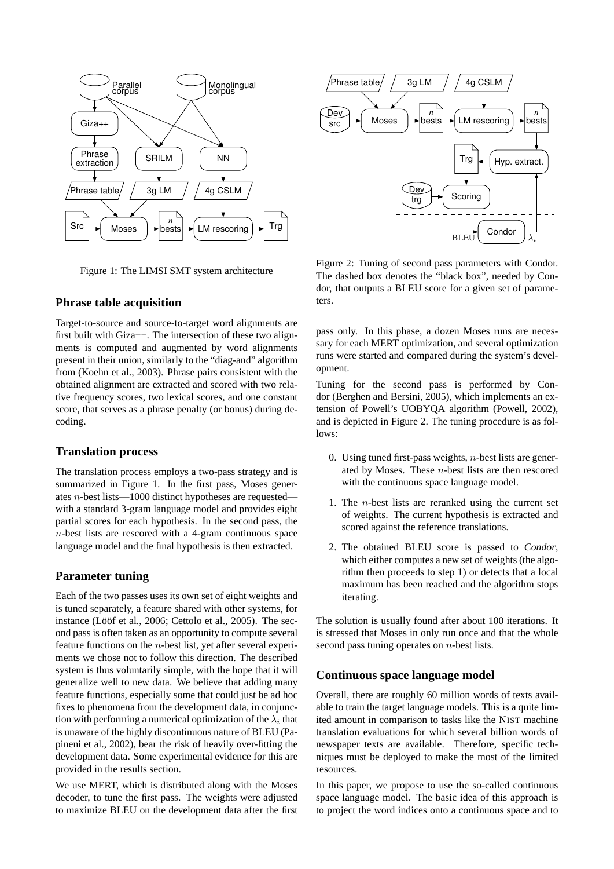

Figure 1: The LIMSI SMT system architecture

## **Phrase table acquisition**

Target-to-source and source-to-target word alignments are first built with Giza++. The intersection of these two alignments is computed and augmented by word alignments present in their union, similarly to the "diag-and" algorithm from (Koehn et al., 2003). Phrase pairs consistent with the obtained alignment are extracted and scored with two relative frequency scores, two lexical scores, and one constant score, that serves as a phrase penalty (or bonus) during decoding.

## **Translation process**

The translation process employs a two-pass strategy and is summarized in Figure 1. In the first pass, Moses generates n-best lists—1000 distinct hypotheses are requested with a standard 3-gram language model and provides eight partial scores for each hypothesis. In the second pass, the n-best lists are rescored with a 4-gram continuous space language model and the final hypothesis is then extracted.

# **Parameter tuning**

Each of the two passes uses its own set of eight weights and is tuned separately, a feature shared with other systems, for instance (Lööf et al., 2006; Cettolo et al., 2005). The second pass is often taken as an opportunity to compute several feature functions on the n-best list, yet after several experiments we chose not to follow this direction. The described system is thus voluntarily simple, with the hope that it will generalize well to new data. We believe that adding many feature functions, especially some that could just be ad hoc fixes to phenomena from the development data, in conjunction with performing a numerical optimization of the  $\lambda_i$  that is unaware of the highly discontinuous nature of BLEU (Papineni et al., 2002), bear the risk of heavily over-fitting the development data. Some experimental evidence for this are provided in the results section.

We use MERT, which is distributed along with the Moses decoder, to tune the first pass. The weights were adjusted to maximize BLEU on the development data after the first



Figure 2: Tuning of second pass parameters with Condor. The dashed box denotes the "black box", needed by Condor, that outputs a BLEU score for a given set of parameters.

pass only. In this phase, a dozen Moses runs are necessary for each MERT optimization, and several optimization runs were started and compared during the system's development.

Tuning for the second pass is performed by Condor (Berghen and Bersini, 2005), which implements an extension of Powell's UOBYQA algorithm (Powell, 2002), and is depicted in Figure 2. The tuning procedure is as follows:

- 0. Using tuned first-pass weights,  $n$ -best lists are generated by Moses. These  $n$ -best lists are then rescored with the continuous space language model.
- 1. The n-best lists are reranked using the current set of weights. The current hypothesis is extracted and scored against the reference translations.
- 2. The obtained BLEU score is passed to *Condor*, which either computes a new set of weights (the algorithm then proceeds to step 1) or detects that a local maximum has been reached and the algorithm stops iterating.

The solution is usually found after about 100 iterations. It is stressed that Moses in only run once and that the whole second pass tuning operates on *n*-best lists.

# **Continuous space language model**

Overall, there are roughly 60 million words of texts available to train the target language models. This is a quite limited amount in comparison to tasks like the NIST machine translation evaluations for which several billion words of newspaper texts are available. Therefore, specific techniques must be deployed to make the most of the limited resources.

In this paper, we propose to use the so-called continuous space language model. The basic idea of this approach is to project the word indices onto a continuous space and to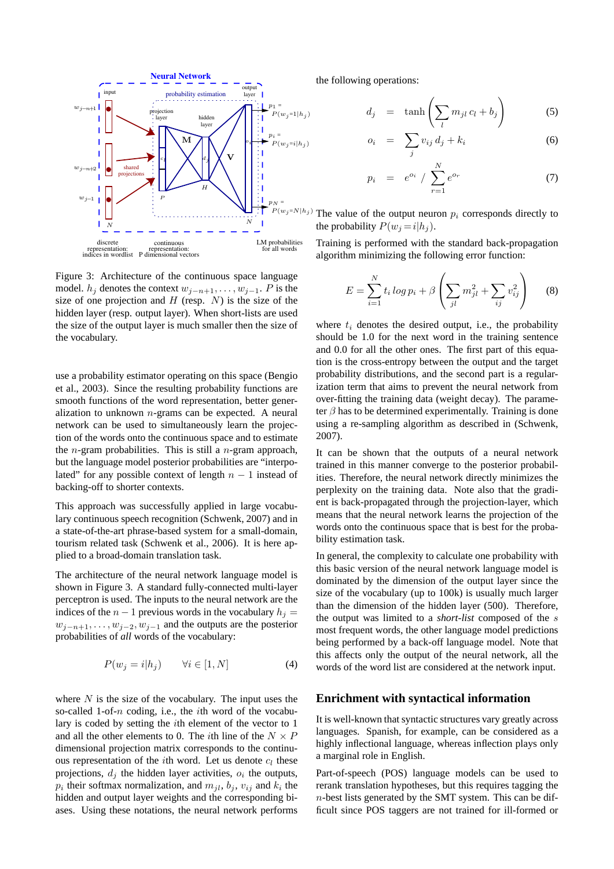

Figure 3: Architecture of the continuous space language model.  $h_i$  denotes the context  $w_{i-n+1}, \ldots, w_{i-1}$ . P is the size of one projection and  $H$  (resp.  $N$ ) is the size of the hidden layer (resp. output layer). When short-lists are used the size of the output layer is much smaller then the size of the vocabulary.

use a probability estimator operating on this space (Bengio et al., 2003). Since the resulting probability functions are smooth functions of the word representation, better generalization to unknown  $n$ -grams can be expected. A neural network can be used to simultaneously learn the projection of the words onto the continuous space and to estimate the *n*-gram probabilities. This is still a *n*-gram approach, but the language model posterior probabilities are "interpolated" for any possible context of length  $n - 1$  instead of backing-off to shorter contexts.

This approach was successfully applied in large vocabulary continuous speech recognition (Schwenk, 2007) and in a state-of-the-art phrase-based system for a small-domain, tourism related task (Schwenk et al., 2006). It is here applied to a broad-domain translation task.

The architecture of the neural network language model is shown in Figure 3. A standard fully-connected multi-layer perceptron is used. The inputs to the neural network are the indices of the  $n - 1$  previous words in the vocabulary  $h_i =$  $w_{i-n+1}, \ldots, w_{i-2}, w_{i-1}$  and the outputs are the posterior probabilities of *all* words of the vocabulary:

$$
P(w_j = i | h_j) \qquad \forall i \in [1, N] \tag{4}
$$

where  $N$  is the size of the vocabulary. The input uses the so-called 1-of- $n$  coding, i.e., the *i*th word of the vocabulary is coded by setting the ith element of the vector to 1 and all the other elements to 0. The *i*th line of the  $N \times P$ dimensional projection matrix corresponds to the continuous representation of the *i*th word. Let us denote  $c_l$  these projections,  $d_j$  the hidden layer activities,  $o_i$  the outputs,  $p_i$  their softmax normalization, and  $m_{jl}$ ,  $b_j$ ,  $v_{ij}$  and  $k_i$  the hidden and output layer weights and the corresponding biases. Using these notations, the neural network performs

the following operations:

 $p_i$ 

$$
d_j = \tanh\left(\sum_l m_{jl} c_l + b_j\right) \tag{5}
$$

$$
o_i = \sum_j v_{ij} d_j + k_i \tag{6}
$$

$$
= e^{o_i} / \sum_{r=1}^{N} e^{o_r}
$$
 (7)

The value of the output neuron  $p_i$  corresponds directly to the probability  $P(w_i = i|h_i)$ .

Training is performed with the standard back-propagation algorithm minimizing the following error function:

$$
E = \sum_{i=1}^{N} t_i \log p_i + \beta \left( \sum_{jl} m_{jl}^2 + \sum_{ij} v_{ij}^2 \right) \tag{8}
$$

where  $t_i$  denotes the desired output, i.e., the probability should be 1.0 for the next word in the training sentence and 0.0 for all the other ones. The first part of this equation is the cross-entropy between the output and the target probability distributions, and the second part is a regularization term that aims to prevent the neural network from over-fitting the training data (weight decay). The parameter  $\beta$  has to be determined experimentally. Training is done using a re-sampling algorithm as described in (Schwenk, 2007).

It can be shown that the outputs of a neural network trained in this manner converge to the posterior probabilities. Therefore, the neural network directly minimizes the perplexity on the training data. Note also that the gradient is back-propagated through the projection-layer, which means that the neural network learns the projection of the words onto the continuous space that is best for the probability estimation task.

In general, the complexity to calculate one probability with this basic version of the neural network language model is dominated by the dimension of the output layer since the size of the vocabulary (up to 100k) is usually much larger than the dimension of the hidden layer (500). Therefore, the output was limited to a *short-list* composed of the s most frequent words, the other language model predictions being performed by a back-off language model. Note that this affects only the output of the neural network, all the words of the word list are considered at the network input.

## **Enrichment with syntactical information**

It is well-known that syntactic structures vary greatly across languages. Spanish, for example, can be considered as a highly inflectional language, whereas inflection plays only a marginal role in English.

Part-of-speech (POS) language models can be used to rerank translation hypotheses, but this requires tagging the  $n$ -best lists generated by the SMT system. This can be difficult since POS taggers are not trained for ill-formed or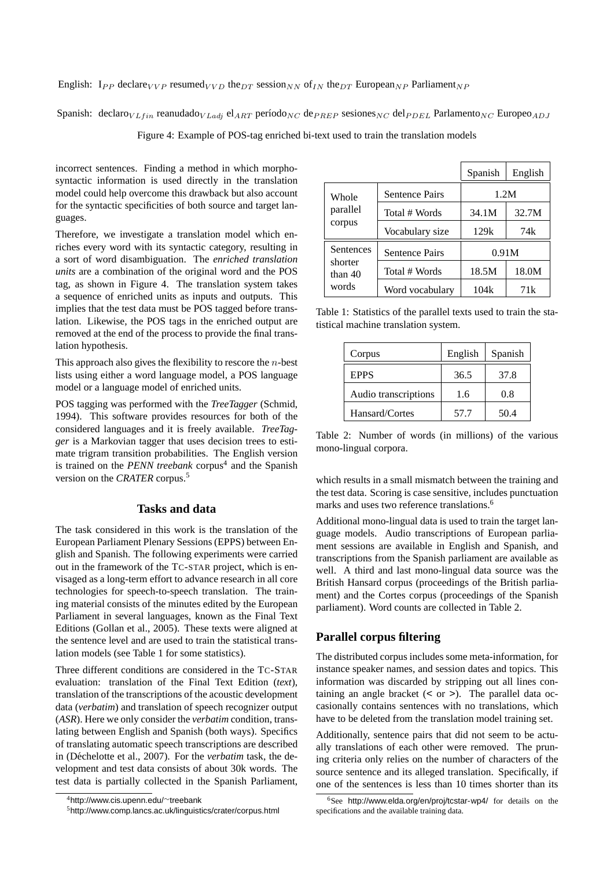English:  $I_{PP}$  declare<sub>VVP</sub> resumed<sub>VVD</sub> the<sub>DT</sub> session<sub>NN</sub> of<sub>IN</sub> the<sub>DT</sub> European<sub>NP</sub> Parliament<sub>NP</sub>

Spanish: declaro $V_L_{fin}$  reanudado $V_L_{adj}$  el<sub>ART</sub> período<sub>NC</sub> de $P_{REP}$  sesiones<sub>NC</sub> del $P_{DEL}$  Parlamento<sub>NC</sub> Europeo<sub>ADJ</sub>

Figure 4: Example of POS-tag enriched bi-text used to train the translation models

incorrect sentences. Finding a method in which morphosyntactic information is used directly in the translation model could help overcome this drawback but also account for the syntactic specificities of both source and target languages.

Therefore, we investigate a translation model which enriches every word with its syntactic category, resulting in a sort of word disambiguation. The *enriched translation units* are a combination of the original word and the POS tag, as shown in Figure 4. The translation system takes a sequence of enriched units as inputs and outputs. This implies that the test data must be POS tagged before translation. Likewise, the POS tags in the enriched output are removed at the end of the process to provide the final translation hypothesis.

This approach also gives the flexibility to rescore the  $n$ -best lists using either a word language model, a POS language model or a language model of enriched units.

POS tagging was performed with the *TreeTagger* (Schmid, 1994). This software provides resources for both of the considered languages and it is freely available. *TreeTagger* is a Markovian tagger that uses decision trees to estimate trigram transition probabilities. The English version is trained on the *PENN treebank* corpus<sup>4</sup> and the Spanish version on the *CRATER* corpus.<sup>5</sup>

## **Tasks and data**

The task considered in this work is the translation of the European Parliament Plenary Sessions (EPPS) between English and Spanish. The following experiments were carried out in the framework of the TC-STAR project, which is envisaged as a long-term effort to advance research in all core technologies for speech-to-speech translation. The training material consists of the minutes edited by the European Parliament in several languages, known as the Final Text Editions (Gollan et al., 2005). These texts were aligned at the sentence level and are used to train the statistical translation models (see Table 1 for some statistics).

Three different conditions are considered in the TC-STAR evaluation: translation of the Final Text Edition (*text*), translation of the transcriptions of the acoustic development data (*verbatim*) and translation of speech recognizer output (*ASR*). Here we only consider the *verbatim* condition, translating between English and Spanish (both ways). Specifics of translating automatic speech transcriptions are described in (Déchelotte et al., 2007). For the *verbatim* task, the development and test data consists of about 30k words. The test data is partially collected in the Spanish Parliament,

|                      |                       | Spanish | English |  |
|----------------------|-----------------------|---------|---------|--|
| Whole                | <b>Sentence Pairs</b> | 1.2M    |         |  |
| parallel             | Total # Words         | 34.1M   | 32.7M   |  |
| corpus               | Vocabulary size       | 129k    | 74k     |  |
| Sentences            | <b>Sentence Pairs</b> | 0.91M   |         |  |
| shorter<br>than $40$ | Total # Words         | 18.5M   | 18.0M   |  |
| words                | Word vocabulary       | 104k    | 71k     |  |

Table 1: Statistics of the parallel texts used to train the statistical machine translation system.

| Corpus               | English | Spanish |
|----------------------|---------|---------|
| <b>EPPS</b>          | 36.5    | 37.8    |
| Audio transcriptions | 1.6     | 0.8     |
| Hansard/Cortes       | 57.7    | 50.4    |

Table 2: Number of words (in millions) of the various mono-lingual corpora.

which results in a small mismatch between the training and the test data. Scoring is case sensitive, includes punctuation marks and uses two reference translations.<sup>6</sup>

Additional mono-lingual data is used to train the target language models. Audio transcriptions of European parliament sessions are available in English and Spanish, and transcriptions from the Spanish parliament are available as well. A third and last mono-lingual data source was the British Hansard corpus (proceedings of the British parliament) and the Cortes corpus (proceedings of the Spanish parliament). Word counts are collected in Table 2.

# **Parallel corpus filtering**

The distributed corpus includes some meta-information, for instance speaker names, and session dates and topics. This information was discarded by stripping out all lines containing an angle bracket (< or >). The parallel data occasionally contains sentences with no translations, which have to be deleted from the translation model training set.

Additionally, sentence pairs that did not seem to be actually translations of each other were removed. The pruning criteria only relies on the number of characters of the source sentence and its alleged translation. Specifically, if one of the sentences is less than 10 times shorter than its

<sup>4</sup>http://www.cis.upenn.edu/∼treebank

<sup>5</sup>http://www.comp.lancs.ac.uk/linguistics/crater/corpus.html

<sup>6</sup>See http://www.elda.org/en/proj/tcstar-wp4/ for details on the specifications and the available training data.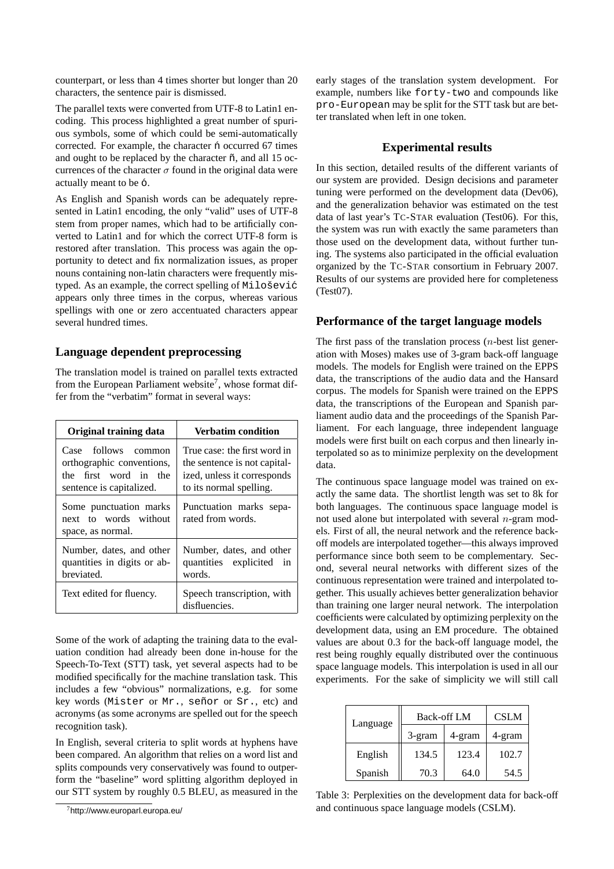counterpart, or less than 4 times shorter but longer than 20 characters, the sentence pair is dismissed.

The parallel texts were converted from UTF-8 to Latin1 encoding. This process highlighted a great number of spurious symbols, some of which could be semi-automatically corrected. For example, the character  $\acute{n}$  occurred 67 times and ought to be replaced by the character  $\tilde{n}$ , and all 15 occurrences of the character  $\sigma$  found in the original data were actually meant to be 6.

As English and Spanish words can be adequately represented in Latin1 encoding, the only "valid" uses of UTF-8 stem from proper names, which had to be artificially converted to Latin1 and for which the correct UTF-8 form is restored after translation. This process was again the opportunity to detect and fix normalization issues, as proper nouns containing non-latin characters were frequently mistyped. As an example, the correct spelling of  $Mido\$ sević appears only three times in the corpus, whereas various spellings with one or zero accentuated characters appear several hundred times.

# **Language dependent preprocessing**

The translation model is trained on parallel texts extracted from the European Parliament website<sup>7</sup>, whose format differ from the "verbatim" format in several ways:

| Original training data                                                                                | <b>Verbatim condition</b>                                                                                              |
|-------------------------------------------------------------------------------------------------------|------------------------------------------------------------------------------------------------------------------------|
| Case follows common<br>orthographic conventions,<br>the first word in the<br>sentence is capitalized. | True case: the first word in<br>the sentence is not capital-<br>ized, unless it corresponds<br>to its normal spelling. |
| Some punctuation marks<br>next to words without<br>space, as normal.                                  | Punctuation marks sepa-<br>rated from words.                                                                           |
| Number, dates, and other<br>quantities in digits or ab-<br>breviated.                                 | Number, dates, and other<br>quantities explicited in<br>words.                                                         |
| Text edited for fluency.                                                                              | Speech transcription, with<br>disfluencies.                                                                            |

Some of the work of adapting the training data to the evaluation condition had already been done in-house for the Speech-To-Text (STT) task, yet several aspects had to be modified specifically for the machine translation task. This includes a few "obvious" normalizations, e.g. for some key words (Mister or Mr., señor or Sr., etc) and acronyms (as some acronyms are spelled out for the speech recognition task).

In English, several criteria to split words at hyphens have been compared. An algorithm that relies on a word list and splits compounds very conservatively was found to outperform the "baseline" word splitting algorithm deployed in our STT system by roughly 0.5 BLEU, as measured in the early stages of the translation system development. For example, numbers like forty-two and compounds like pro-European may be split for the STT task but are better translated when left in one token.

#### **Experimental results**

In this section, detailed results of the different variants of our system are provided. Design decisions and parameter tuning were performed on the development data (Dev06), and the generalization behavior was estimated on the test data of last year's TC-STAR evaluation (Test06). For this, the system was run with exactly the same parameters than those used on the development data, without further tuning. The systems also participated in the official evaluation organized by the TC-STAR consortium in February 2007. Results of our systems are provided here for completeness (Test07).

# **Performance of the target language models**

The first pass of the translation process  $(n$ -best list generation with Moses) makes use of 3-gram back-off language models. The models for English were trained on the EPPS data, the transcriptions of the audio data and the Hansard corpus. The models for Spanish were trained on the EPPS data, the transcriptions of the European and Spanish parliament audio data and the proceedings of the Spanish Parliament. For each language, three independent language models were first built on each corpus and then linearly interpolated so as to minimize perplexity on the development data.

The continuous space language model was trained on exactly the same data. The shortlist length was set to 8k for both languages. The continuous space language model is not used alone but interpolated with several  $n$ -gram models. First of all, the neural network and the reference backoff models are interpolated together—this always improved performance since both seem to be complementary. Second, several neural networks with different sizes of the continuous representation were trained and interpolated together. This usually achieves better generalization behavior than training one larger neural network. The interpolation coefficients were calculated by optimizing perplexity on the development data, using an EM procedure. The obtained values are about 0.3 for the back-off language model, the rest being roughly equally distributed over the continuous space language models. This interpolation is used in all our experiments. For the sake of simplicity we will still call

| Language | <b>Back-off LM</b> | <b>CSLM</b> |        |
|----------|--------------------|-------------|--------|
|          | 3-gram             | 4-gram      | 4-gram |
| English  | 134.5              | 123.4       | 102.7  |
| Spanish  | 70.3               | 64.0        | 54.5   |

Table 3: Perplexities on the development data for back-off and continuous space language models (CSLM).

<sup>7</sup>http://www.europarl.europa.eu/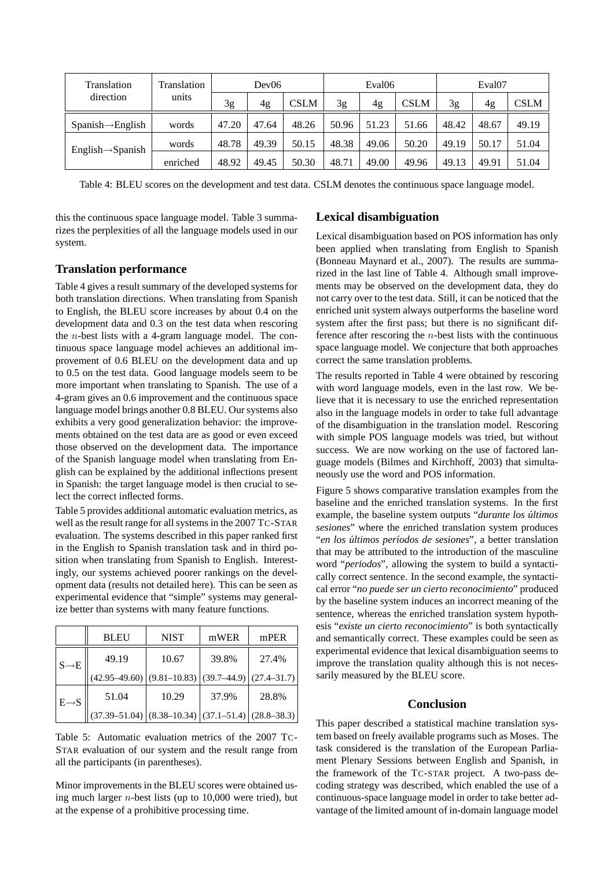| Translation                   | Translation | Dev06 |       | Eval06      |       | Eval07 |             |       |       |             |
|-------------------------------|-------------|-------|-------|-------------|-------|--------|-------------|-------|-------|-------------|
| direction                     | units       | 3g    | 4g    | <b>CSLM</b> | 3g    | 4g     | <b>CSLM</b> | 3g    | 4g    | <b>CSLM</b> |
| $Spanish \rightarrow English$ | words       | 47.20 | 47.64 | 48.26       | 50.96 | 51.23  | 51.66       | 48.42 | 48.67 | 49.19       |
| $English \rightarrow Spanish$ | words       | 48.78 | 49.39 | 50.15       | 48.38 | 49.06  | 50.20       | 49.19 | 50.17 | 51.04       |
|                               | enriched    | 48.92 | 49.45 | 50.30       | 48.71 | 49.00  | 49.96       | 49.13 | 49.91 | 51.04       |

Table 4: BLEU scores on the development and test data. CSLM denotes the continuous space language model.

this the continuous space language model. Table 3 summarizes the perplexities of all the language models used in our system.

## **Translation performance**

Table 4 gives a result summary of the developed systems for both translation directions. When translating from Spanish to English, the BLEU score increases by about 0.4 on the development data and 0.3 on the test data when rescoring the  $n$ -best lists with a 4-gram language model. The continuous space language model achieves an additional improvement of 0.6 BLEU on the development data and up to 0.5 on the test data. Good language models seem to be more important when translating to Spanish. The use of a 4-gram gives an 0.6 improvement and the continuous space language model brings another 0.8 BLEU. Our systems also exhibits a very good generalization behavior: the improvements obtained on the test data are as good or even exceed those observed on the development data. The importance of the Spanish language model when translating from English can be explained by the additional inflections present in Spanish: the target language model is then crucial to select the correct inflected forms.

Table 5 provides additional automatic evaluation metrics, as well as the result range for all systems in the 2007 TC-STAR evaluation. The systems described in this paper ranked first in the English to Spanish translation task and in third position when translating from Spanish to English. Interestingly, our systems achieved poorer rankings on the development data (results not detailed here). This can be seen as experimental evidence that "simple" systems may generalize better than systems with many feature functions.

|                   | <b>BLEU</b>                  | <b>NIST</b>      | mWER            | mPER            |
|-------------------|------------------------------|------------------|-----------------|-----------------|
| $S \rightarrow E$ | 49.19                        | 10.67            | 39.8%           | 27.4%           |
|                   | $(42.95-49.60)$ (9.81-10.83) |                  | $(39.7 - 44.9)$ | $(27.4 - 31.7)$ |
| $E \rightarrow S$ | 51.04                        | 10.29            | 37.9%           | 28.8%           |
|                   | $(37.39 - 51.04)$            | $(8.38 - 10.34)$ | $(37.1 - 51.4)$ | $(28.8 - 38.3)$ |

Table 5: Automatic evaluation metrics of the 2007 TC-STAR evaluation of our system and the result range from all the participants (in parentheses).

Minor improvements in the BLEU scores were obtained using much larger  $n$ -best lists (up to 10,000 were tried), but at the expense of a prohibitive processing time.

# **Lexical disambiguation**

Lexical disambiguation based on POS information has only been applied when translating from English to Spanish (Bonneau Maynard et al., 2007). The results are summarized in the last line of Table 4. Although small improvements may be observed on the development data, they do not carry over to the test data. Still, it can be noticed that the enriched unit system always outperforms the baseline word system after the first pass; but there is no significant difference after rescoring the n-best lists with the continuous space language model. We conjecture that both approaches correct the same translation problems.

The results reported in Table 4 were obtained by rescoring with word language models, even in the last row. We believe that it is necessary to use the enriched representation also in the language models in order to take full advantage of the disambiguation in the translation model. Rescoring with simple POS language models was tried, but without success. We are now working on the use of factored language models (Bilmes and Kirchhoff, 2003) that simultaneously use the word and POS information.

Figure 5 shows comparative translation examples from the baseline and the enriched translation systems. In the first example, the baseline system outputs "*durante los ultimos ´ sesiones*" where the enriched translation system produces "en los últimos períodos de sesiones", a better translation that may be attributed to the introduction of the masculine word "*periodos*", allowing the system to build a syntactically correct sentence. In the second example, the syntactical error "*no puede ser un cierto reconocimiento*" produced by the baseline system induces an incorrect meaning of the sentence, whereas the enriched translation system hypothesis "*existe un cierto reconocimiento*" is both syntactically and semantically correct. These examples could be seen as experimental evidence that lexical disambiguation seems to improve the translation quality although this is not necessarily measured by the BLEU score.

#### **Conclusion**

This paper described a statistical machine translation system based on freely available programs such as Moses. The task considered is the translation of the European Parliament Plenary Sessions between English and Spanish, in the framework of the TC-STAR project. A two-pass decoding strategy was described, which enabled the use of a continuous-space language model in order to take better advantage of the limited amount of in-domain language model